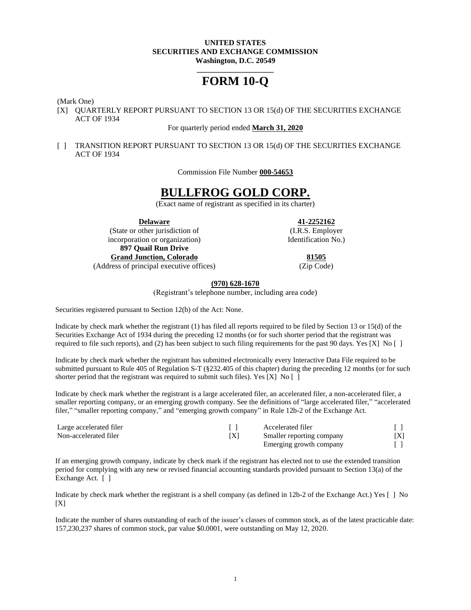#### **UNITED STATES SECURITIES AND EXCHANGE COMMISSION Washington, D.C. 20549**

# **\_\_\_\_\_\_\_\_\_\_\_\_\_\_\_\_\_\_\_\_ FORM 10-Q**

(Mark One)

[X] QUARTERLY REPORT PURSUANT TO SECTION 13 OR 15(d) OF THE SECURITIES EXCHANGE ACT OF 1934

#### For quarterly period ended **March 31, 2020**

[ ] TRANSITION REPORT PURSUANT TO SECTION 13 OR 15(d) OF THE SECURITIES EXCHANGE ACT OF 1934

Commission File Number **000-54653**

# **BULLFROG GOLD CORP.**

(Exact name of registrant as specified in its charter)

(State or other jurisdiction of (I.R.S. Employer incorporation or organization) Identification No. **897 Quail Run Drive Grand Junction, Colorado 81505** (Address of principal executive offices) (Zip Code)

**Delaware 41-2252162**

## **(970) 628-1670**

(Registrant's telephone number, including area code)

Securities registered pursuant to Section 12(b) of the Act: None.

Indicate by check mark whether the registrant (1) has filed all reports required to be filed by Section 13 or 15(d) of the Securities Exchange Act of 1934 during the preceding 12 months (or for such shorter period that the registrant was required to file such reports), and (2) has been subject to such filing requirements for the past 90 days. Yes [X] No  $[ \ ]$ 

Indicate by check mark whether the registrant has submitted electronically every Interactive Data File required to be submitted pursuant to Rule 405 of Regulation S-T (§232.405 of this chapter) during the preceding 12 months (or for such shorter period that the registrant was required to submit such files). Yes [X] No [ ]

Indicate by check mark whether the registrant is a large accelerated filer, an accelerated filer, a non-accelerated filer, a smaller reporting company, or an emerging growth company. See the definitions of "large accelerated filer," "accelerated filer," "smaller reporting company," and "emerging growth company" in Rule 12b-2 of the Exchange Act.

| Large accelerated filer |     | Accelerated filer         |                 |
|-------------------------|-----|---------------------------|-----------------|
| Non-accelerated filer   | ΙXΙ | Smaller reporting company | <sub>I</sub> XI |
|                         |     | Emerging growth company   |                 |

If an emerging growth company, indicate by check mark if the registrant has elected not to use the extended transition period for complying with any new or revised financial accounting standards provided pursuant to Section 13(a) of the Exchange Act. [ ]

Indicate by check mark whether the registrant is a shell company (as defined in 12b-2 of the Exchange Act.) Yes [ ] No  $[X]$ 

Indicate the number of shares outstanding of each of the issuer's classes of common stock, as of the latest practicable date: 157,230,237 shares of common stock, par value \$0.0001, were outstanding on May 12, 2020.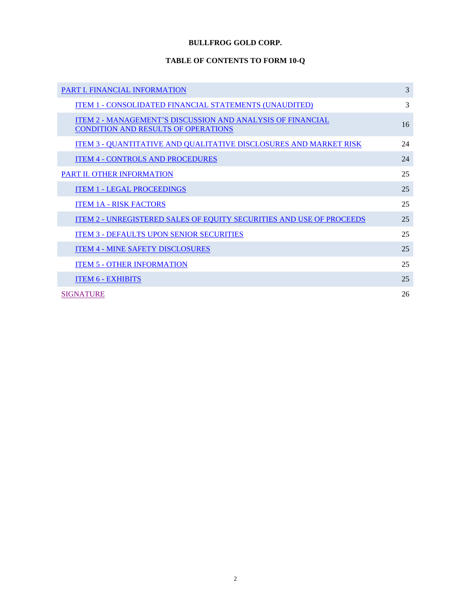# **BULLFROG GOLD CORP.**

# **TABLE OF CONTENTS TO FORM 10-Q**

| <b>PART I. FINANCIAL INFORMATION</b>                                                                            | 3  |
|-----------------------------------------------------------------------------------------------------------------|----|
| <b>ITEM 1 - CONSOLIDATED FINANCIAL STATEMENTS (UNAUDITED)</b>                                                   | 3  |
| <b>ITEM 2 - MANAGEMENT'S DISCUSSION AND ANALYSIS OF FINANCIAL</b><br><b>CONDITION AND RESULTS OF OPERATIONS</b> | 16 |
| <u>ITEM 3 - QUANTITATIVE AND QUALITATIVE DISCLOSURES AND MARKET RISK</u>                                        | 24 |
| <b>ITEM 4 - CONTROLS AND PROCEDURES</b>                                                                         | 24 |
| <b>PART II. OTHER INFORMATION</b>                                                                               | 25 |
| <b>ITEM 1 - LEGAL PROCEEDINGS</b>                                                                               | 25 |
| <b>ITEM 1A - RISK FACTORS</b>                                                                                   | 25 |
| <b>ITEM 2 - UNREGISTERED SALES OF EQUITY SECURITIES AND USE OF PROCEEDS</b>                                     | 25 |
| <b>ITEM 3 - DEFAULTS UPON SENIOR SECURITIES</b>                                                                 | 25 |
| <b>ITEM 4 - MINE SAFETY DISCLOSURES</b>                                                                         | 25 |
| <b>ITEM 5 - OTHER INFORMATION</b>                                                                               | 25 |
| <b>ITEM 6 - EXHIBITS</b>                                                                                        | 25 |
| <b>SIGNATURE</b>                                                                                                | 26 |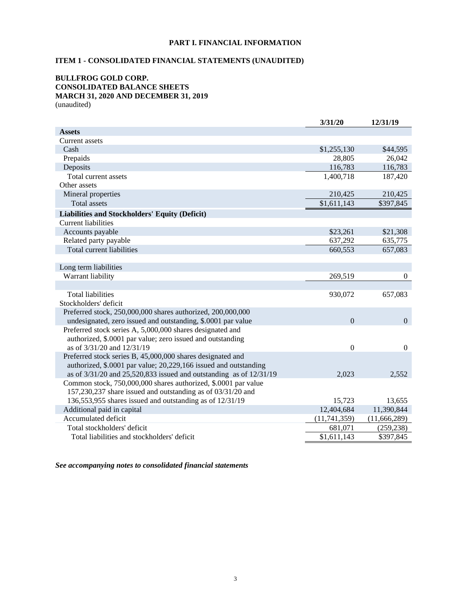## **PART I. FINANCIAL INFORMATION**

# <span id="page-2-1"></span><span id="page-2-0"></span>**ITEM 1 - CONSOLIDATED FINANCIAL STATEMENTS (UNAUDITED)**

#### **BULLFROG GOLD CORP. CONSOLIDATED BALANCE SHEETS MARCH 31, 2020 AND DECEMBER 31, 2019** (unaudited)

|                                                                          | 3/31/20        | 12/31/19       |
|--------------------------------------------------------------------------|----------------|----------------|
| <b>Assets</b>                                                            |                |                |
| <b>Current assets</b>                                                    |                |                |
| Cash                                                                     | \$1,255,130    | \$44,595       |
| Prepaids                                                                 | 28,805         | 26,042         |
| Deposits                                                                 | 116,783        | 116,783        |
| Total current assets                                                     | 1,400,718      | 187,420        |
| Other assets                                                             |                |                |
| Mineral properties                                                       | 210,425        | 210,425        |
| Total assets                                                             | \$1,611,143    | \$397,845      |
| <b>Liabilities and Stockholders' Equity (Deficit)</b>                    |                |                |
| Current liabilities                                                      |                |                |
| Accounts payable                                                         | \$23,261       | \$21,308       |
| Related party payable                                                    | 637,292        | 635,775        |
| Total current liabilities                                                | 660,553        | 657,083        |
|                                                                          |                |                |
| Long term liabilities                                                    |                |                |
| Warrant liability                                                        | 269,519        | $\theta$       |
|                                                                          |                |                |
| <b>Total liabilities</b>                                                 | 930,072        | 657,083        |
| Stockholders' deficit                                                    |                |                |
| Preferred stock, 250,000,000 shares authorized, 200,000,000              |                |                |
| undesignated, zero issued and outstanding, \$.0001 par value             | $\overline{0}$ | $\overline{0}$ |
| Preferred stock series A, 5,000,000 shares designated and                |                |                |
| authorized, \$.0001 par value; zero issued and outstanding               |                |                |
| as of 3/31/20 and 12/31/19                                               | $\mathbf{0}$   | $\overline{0}$ |
| Preferred stock series B, 45,000,000 shares designated and               |                |                |
| authorized, \$.0001 par value; 20,229,166 issued and outstanding         |                |                |
| as of $3/31/20$ and $25,520,833$ issued and outstanding as of $12/31/19$ | 2,023          | 2,552          |
| Common stock, 750,000,000 shares authorized, \$.0001 par value           |                |                |
| 157,230,237 share issued and outstanding as of 03/31/20 and              |                |                |
| 136,553,955 shares issued and outstanding as of 12/31/19                 | 15,723         | 13,655         |
| Additional paid in capital                                               | 12,404,684     | 11,390,844     |
| Accumulated deficit                                                      | (11,741,359)   | (11,666,289)   |
| Total stockholders' deficit                                              | 681,071        | (259, 238)     |
| Total liabilities and stockholders' deficit                              | \$1,611,143    | \$397,845      |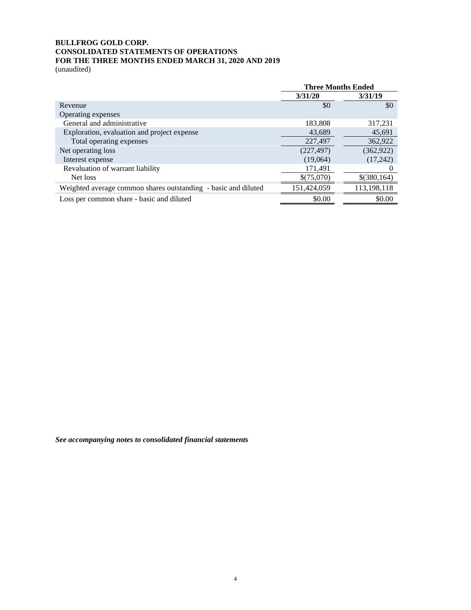# **BULLFROG GOLD CORP. CONSOLIDATED STATEMENTS OF OPERATIONS FOR THE THREE MONTHS ENDED MARCH 31, 2020 AND 2019**

(unaudited)

|                                                                | <b>Three Months Ended</b> |             |
|----------------------------------------------------------------|---------------------------|-------------|
|                                                                | 3/31/20                   | 3/31/19     |
| Revenue                                                        | \$0                       | \$0         |
| Operating expenses                                             |                           |             |
| General and administrative                                     | 183,808                   | 317,231     |
| Exploration, evaluation and project expense                    | 43,689                    | 45,691      |
| Total operating expenses                                       | 227,497                   | 362,922     |
| Net operating loss                                             | (227, 497)                | (362, 922)  |
| Interest expense                                               | (19,064)                  | (17,242)    |
| Revaluation of warrant liability                               | 171,491                   |             |
| Net loss                                                       | \$(75,070)                | \$(380,164) |
| Weighted average common shares outstanding - basic and diluted | 151,424,059               | 113,198,118 |
| Loss per common share - basic and diluted                      | \$0.00                    | \$0.00      |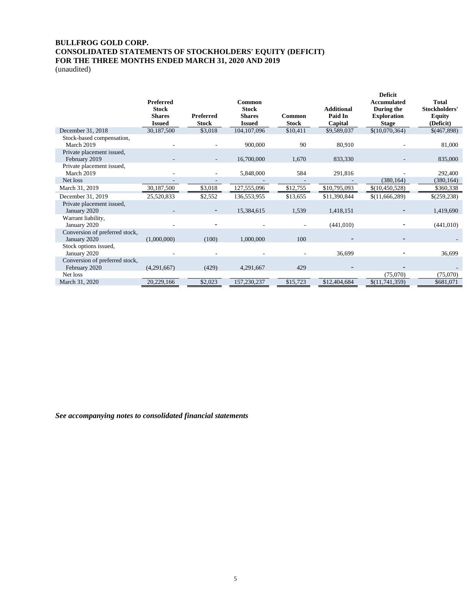## **BULLFROG GOLD CORP. CONSOLIDATED STATEMENTS OF STOCKHOLDERS' EQUITY (DEFICIT) FOR THE THREE MONTHS ENDED MARCH 31, 2020 AND 2019**

(unaudited)

|                                                |                                                                    |                           |                                                          |                        |                                         | <b>Deficit</b>                                                         |                                                             |
|------------------------------------------------|--------------------------------------------------------------------|---------------------------|----------------------------------------------------------|------------------------|-----------------------------------------|------------------------------------------------------------------------|-------------------------------------------------------------|
|                                                | <b>Preferred</b><br><b>Stock</b><br><b>Shares</b><br><b>Issued</b> | <b>Preferred</b><br>Stock | Common<br><b>Stock</b><br><b>Shares</b><br><b>Issued</b> | Common<br><b>Stock</b> | <b>Additional</b><br>Paid In<br>Capital | <b>Accumulated</b><br>During the<br><b>Exploration</b><br><b>Stage</b> | <b>Total</b><br>Stockholders'<br><b>Equity</b><br>(Deficit) |
| December 31, 2018                              | 30,187,500                                                         | \$3,018                   | 104, 107, 096                                            | \$10,411               | \$9,589,037                             | \$(10,070,364)                                                         | \$(467,898)                                                 |
| Stock-based compensation,<br>March 2019        |                                                                    |                           | 900,000                                                  | 90                     | 80,910                                  |                                                                        | 81,000                                                      |
| Private placement issued,<br>February 2019     |                                                                    |                           | 16,700,000                                               | 1,670                  | 833,330                                 |                                                                        | 835,000                                                     |
| Private placement issued,<br>March 2019        |                                                                    |                           | 5,848,000                                                | 584                    | 291,816                                 |                                                                        | 292,400                                                     |
| Net loss                                       |                                                                    |                           |                                                          |                        |                                         | (380, 164)                                                             | (380, 164)                                                  |
| March 31, 2019                                 | 30,187,500                                                         | \$3,018                   | 127,555,096                                              | \$12,755               | \$10,795,093                            | \$(10, 450, 528)                                                       | \$360,338                                                   |
| December 31, 2019                              | 25,520,833                                                         | \$2,552                   | 136,553,955                                              | \$13,655               | \$11,390,844                            | \$(11,666,289)                                                         | \$(259,238)                                                 |
| Private placement issued,<br>January 2020      |                                                                    |                           | 15,384,615                                               | 1,539                  | 1,418,151                               |                                                                        | 1,419,690                                                   |
| Warrant liability,<br>January 2020             |                                                                    |                           |                                                          |                        | (441, 010)                              |                                                                        | (441, 010)                                                  |
| Conversion of preferred stock,<br>January 2020 | (1,000,000)                                                        | (100)                     | 1,000,000                                                | 100                    |                                         |                                                                        |                                                             |
| Stock options issued,<br>January 2020          |                                                                    |                           |                                                          |                        | 36,699                                  |                                                                        | 36,699                                                      |
| Conversion of preferred stock,                 |                                                                    |                           |                                                          |                        |                                         |                                                                        |                                                             |
| February 2020                                  | (4,291,667)                                                        | (429)                     | 4,291,667                                                | 429                    |                                         |                                                                        |                                                             |
| Net loss                                       |                                                                    |                           |                                                          |                        |                                         | (75,070)                                                               | (75,070)                                                    |
| March 31, 2020                                 | 20,229,166                                                         | \$2,023                   | 157,230,237                                              | \$15,723               | \$12,404,684                            | \$(11,741,359)                                                         | \$681,071                                                   |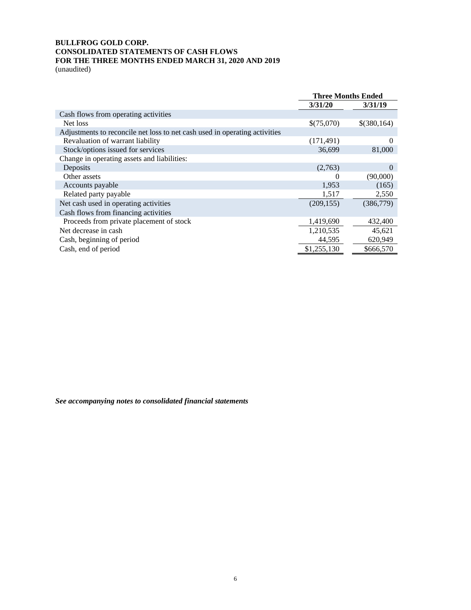# **BULLFROG GOLD CORP. CONSOLIDATED STATEMENTS OF CASH FLOWS FOR THE THREE MONTHS ENDED MARCH 31, 2020 AND 2019**

(unaudited)

|                                                                            | <b>Three Months Ended</b> |             |
|----------------------------------------------------------------------------|---------------------------|-------------|
|                                                                            | 3/31/20                   | 3/31/19     |
| Cash flows from operating activities                                       |                           |             |
| Net loss                                                                   | \$(75,070)                | \$(380,164) |
| Adjustments to reconcile net loss to net cash used in operating activities |                           |             |
| Revaluation of warrant liability                                           | (171, 491)                | $\Omega$    |
| Stock/options issued for services                                          | 36,699                    | 81,000      |
| Change in operating assets and liabilities:                                |                           |             |
| Deposits                                                                   | (2,763)                   | $\Omega$    |
| Other assets                                                               | $\theta$                  | (90,000)    |
| Accounts payable                                                           | 1,953                     | (165)       |
| Related party payable                                                      | 1,517                     | 2,550       |
| Net cash used in operating activities                                      | (209, 155)                | (386,779)   |
| Cash flows from financing activities                                       |                           |             |
| Proceeds from private placement of stock                                   | 1,419,690                 | 432,400     |
| Net decrease in cash                                                       | 1,210,535                 | 45,621      |
| Cash, beginning of period                                                  | 44,595                    | 620,949     |
| Cash, end of period                                                        | \$1,255,130               | \$666,570   |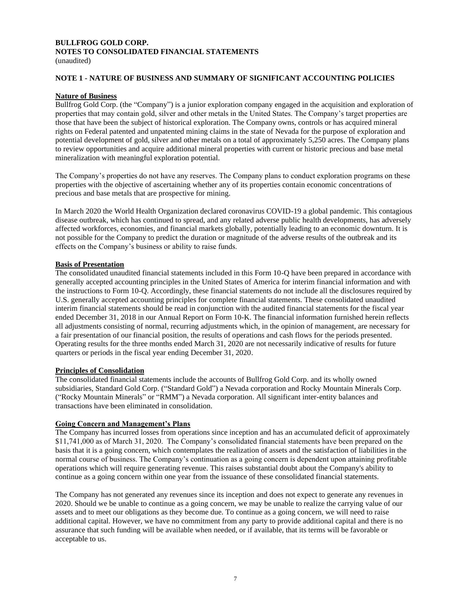# **BULLFROG GOLD CORP. NOTES TO CONSOLIDATED FINANCIAL STATEMENTS**

#### (unaudited)

#### **NOTE 1 - NATURE OF BUSINESS AND SUMMARY OF SIGNIFICANT ACCOUNTING POLICIES**

#### **Nature of Business**

Bullfrog Gold Corp. (the "Company") is a junior exploration company engaged in the acquisition and exploration of properties that may contain gold, silver and other metals in the United States. The Company's target properties are those that have been the subject of historical exploration. The Company owns, controls or has acquired mineral rights on Federal patented and unpatented mining claims in the state of Nevada for the purpose of exploration and potential development of gold, silver and other metals on a total of approximately 5,250 acres. The Company plans to review opportunities and acquire additional mineral properties with current or historic precious and base metal mineralization with meaningful exploration potential.

The Company's properties do not have any reserves. The Company plans to conduct exploration programs on these properties with the objective of ascertaining whether any of its properties contain economic concentrations of precious and base metals that are prospective for mining.

In March 2020 the World Health Organization declared coronavirus COVID-19 a global pandemic. This contagious disease outbreak, which has continued to spread, and any related adverse public health developments, has adversely affected workforces, economies, and financial markets globally, potentially leading to an economic downturn. It is not possible for the Company to predict the duration or magnitude of the adverse results of the outbreak and its effects on the Company's business or ability to raise funds.

#### **Basis of Presentation**

The consolidated unaudited financial statements included in this Form 10-Q have been prepared in accordance with generally accepted accounting principles in the United States of America for interim financial information and with the instructions to Form 10-Q. Accordingly, these financial statements do not include all the disclosures required by U.S. generally accepted accounting principles for complete financial statements. These consolidated unaudited interim financial statements should be read in conjunction with the audited financial statements for the fiscal year ended December 31, 2018 in our Annual Report on Form 10-K. The financial information furnished herein reflects all adjustments consisting of normal, recurring adjustments which, in the opinion of management, are necessary for a fair presentation of our financial position, the results of operations and cash flows for the periods presented. Operating results for the three months ended March 31, 2020 are not necessarily indicative of results for future quarters or periods in the fiscal year ending December 31, 2020.

#### **Principles of Consolidation**

The consolidated financial statements include the accounts of Bullfrog Gold Corp. and its wholly owned subsidiaries, Standard Gold Corp. ("Standard Gold") a Nevada corporation and Rocky Mountain Minerals Corp. ("Rocky Mountain Minerals" or "RMM") a Nevada corporation. All significant inter-entity balances and transactions have been eliminated in consolidation.

## **Going Concern and Management's Plans**

The Company has incurred losses from operations since inception and has an accumulated deficit of approximately \$11,741,000 as of March 31, 2020. The Company's consolidated financial statements have been prepared on the basis that it is a going concern, which contemplates the realization of assets and the satisfaction of liabilities in the normal course of business. The Company's continuation as a going concern is dependent upon attaining profitable operations which will require generating revenue. This raises substantial doubt about the Company's ability to continue as a going concern within one year from the issuance of these consolidated financial statements.

The Company has not generated any revenues since its inception and does not expect to generate any revenues in 2020. Should we be unable to continue as a going concern, we may be unable to realize the carrying value of our assets and to meet our obligations as they become due. To continue as a going concern, we will need to raise additional capital. However, we have no commitment from any party to provide additional capital and there is no assurance that such funding will be available when needed, or if available, that its terms will be favorable or acceptable to us.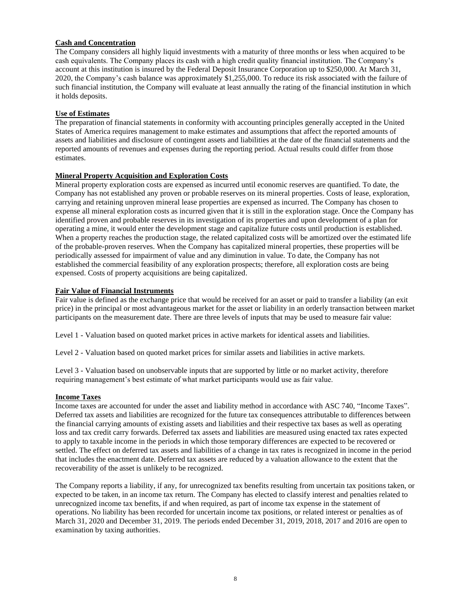## **Cash and Concentration**

The Company considers all highly liquid investments with a maturity of three months or less when acquired to be cash equivalents. The Company places its cash with a high credit quality financial institution. The Company's account at this institution is insured by the Federal Deposit Insurance Corporation up to \$250,000. At March 31, 2020, the Company's cash balance was approximately \$1,255,000. To reduce its risk associated with the failure of such financial institution, the Company will evaluate at least annually the rating of the financial institution in which it holds deposits.

## **Use of Estimates**

The preparation of financial statements in conformity with accounting principles generally accepted in the United States of America requires management to make estimates and assumptions that affect the reported amounts of assets and liabilities and disclosure of contingent assets and liabilities at the date of the financial statements and the reported amounts of revenues and expenses during the reporting period. Actual results could differ from those estimates.

## **Mineral Property Acquisition and Exploration Costs**

Mineral property exploration costs are expensed as incurred until economic reserves are quantified. To date, the Company has not established any proven or probable reserves on its mineral properties. Costs of lease, exploration, carrying and retaining unproven mineral lease properties are expensed as incurred. The Company has chosen to expense all mineral exploration costs as incurred given that it is still in the exploration stage. Once the Company has identified proven and probable reserves in its investigation of its properties and upon development of a plan for operating a mine, it would enter the development stage and capitalize future costs until production is established. When a property reaches the production stage, the related capitalized costs will be amortized over the estimated life of the probable-proven reserves. When the Company has capitalized mineral properties, these properties will be periodically assessed for impairment of value and any diminution in value. To date, the Company has not established the commercial feasibility of any exploration prospects; therefore, all exploration costs are being expensed. Costs of property acquisitions are being capitalized.

## **Fair Value of Financial Instruments**

Fair value is defined as the exchange price that would be received for an asset or paid to transfer a liability (an exit price) in the principal or most advantageous market for the asset or liability in an orderly transaction between market participants on the measurement date. There are three levels of inputs that may be used to measure fair value:

Level 1 - Valuation based on quoted market prices in active markets for identical assets and liabilities.

Level 2 - Valuation based on quoted market prices for similar assets and liabilities in active markets.

Level 3 - Valuation based on unobservable inputs that are supported by little or no market activity, therefore requiring management's best estimate of what market participants would use as fair value.

## **Income Taxes**

Income taxes are accounted for under the asset and liability method in accordance with ASC 740, "Income Taxes". Deferred tax assets and liabilities are recognized for the future tax consequences attributable to differences between the financial carrying amounts of existing assets and liabilities and their respective tax bases as well as operating loss and tax credit carry forwards. Deferred tax assets and liabilities are measured using enacted tax rates expected to apply to taxable income in the periods in which those temporary differences are expected to be recovered or settled. The effect on deferred tax assets and liabilities of a change in tax rates is recognized in income in the period that includes the enactment date. Deferred tax assets are reduced by a valuation allowance to the extent that the recoverability of the asset is unlikely to be recognized.

The Company reports a liability, if any, for unrecognized tax benefits resulting from uncertain tax positions taken, or expected to be taken, in an income tax return. The Company has elected to classify interest and penalties related to unrecognized income tax benefits, if and when required, as part of income tax expense in the statement of operations. No liability has been recorded for uncertain income tax positions, or related interest or penalties as of March 31, 2020 and December 31, 2019. The periods ended December 31, 2019, 2018, 2017 and 2016 are open to examination by taxing authorities.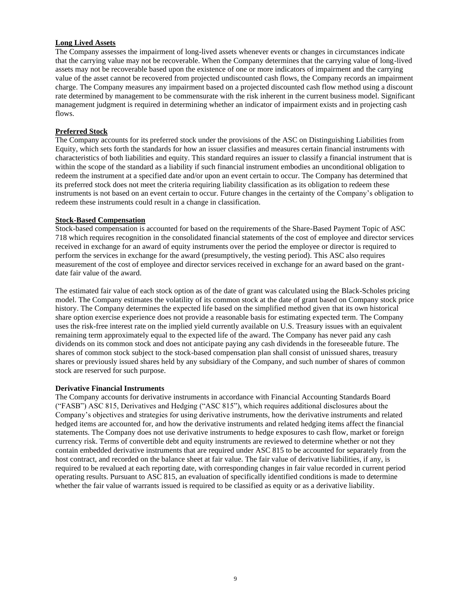## **Long Lived Assets**

The Company assesses the impairment of long-lived assets whenever events or changes in circumstances indicate that the carrying value may not be recoverable. When the Company determines that the carrying value of long-lived assets may not be recoverable based upon the existence of one or more indicators of impairment and the carrying value of the asset cannot be recovered from projected undiscounted cash flows, the Company records an impairment charge. The Company measures any impairment based on a projected discounted cash flow method using a discount rate determined by management to be commensurate with the risk inherent in the current business model. Significant management judgment is required in determining whether an indicator of impairment exists and in projecting cash flows.

#### **Preferred Stock**

The Company accounts for its preferred stock under the provisions of the ASC on Distinguishing Liabilities from Equity, which sets forth the standards for how an issuer classifies and measures certain financial instruments with characteristics of both liabilities and equity. This standard requires an issuer to classify a financial instrument that is within the scope of the standard as a liability if such financial instrument embodies an unconditional obligation to redeem the instrument at a specified date and/or upon an event certain to occur. The Company has determined that its preferred stock does not meet the criteria requiring liability classification as its obligation to redeem these instruments is not based on an event certain to occur. Future changes in the certainty of the Company's obligation to redeem these instruments could result in a change in classification.

#### **Stock-Based Compensation**

Stock-based compensation is accounted for based on the requirements of the Share-Based Payment Topic of ASC 718 which requires recognition in the consolidated financial statements of the cost of employee and director services received in exchange for an award of equity instruments over the period the employee or director is required to perform the services in exchange for the award (presumptively, the vesting period). This ASC also requires measurement of the cost of employee and director services received in exchange for an award based on the grantdate fair value of the award.

The estimated fair value of each stock option as of the date of grant was calculated using the Black-Scholes pricing model. The Company estimates the volatility of its common stock at the date of grant based on Company stock price history. The Company determines the expected life based on the simplified method given that its own historical share option exercise experience does not provide a reasonable basis for estimating expected term. The Company uses the risk-free interest rate on the implied yield currently available on U.S. Treasury issues with an equivalent remaining term approximately equal to the expected life of the award. The Company has never paid any cash dividends on its common stock and does not anticipate paying any cash dividends in the foreseeable future. The shares of common stock subject to the stock-based compensation plan shall consist of unissued shares, treasury shares or previously issued shares held by any subsidiary of the Company, and such number of shares of common stock are reserved for such purpose.

#### **Derivative Financial Instruments**

The Company accounts for derivative instruments in accordance with Financial Accounting Standards Board ("FASB") ASC 815, Derivatives and Hedging ("ASC 815"), which requires additional disclosures about the Company's objectives and strategies for using derivative instruments, how the derivative instruments and related hedged items are accounted for, and how the derivative instruments and related hedging items affect the financial statements. The Company does not use derivative instruments to hedge exposures to cash flow, market or foreign currency risk. Terms of convertible debt and equity instruments are reviewed to determine whether or not they contain embedded derivative instruments that are required under ASC 815 to be accounted for separately from the host contract, and recorded on the balance sheet at fair value. The fair value of derivative liabilities, if any, is required to be revalued at each reporting date, with corresponding changes in fair value recorded in current period operating results. Pursuant to ASC 815, an evaluation of specifically identified conditions is made to determine whether the fair value of warrants issued is required to be classified as equity or as a derivative liability.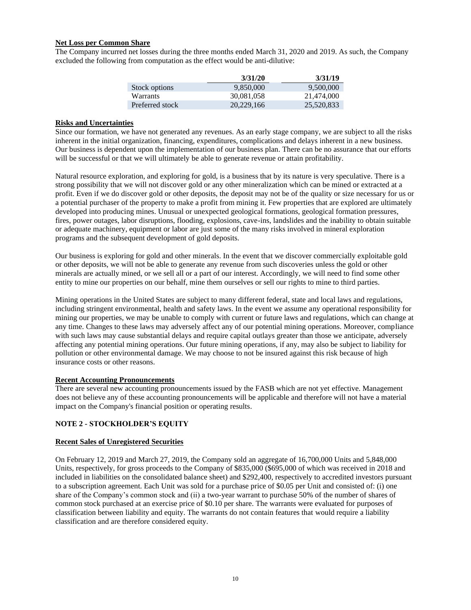### **Net Loss per Common Share**

The Company incurred net losses during the three months ended March 31, 2020 and 2019. As such, the Company excluded the following from computation as the effect would be anti-dilutive:

|                 | 3/31/20    | 3/31/19    |
|-----------------|------------|------------|
| Stock options   | 9.850,000  | 9.500,000  |
| <b>Warrants</b> | 30.081.058 | 21,474,000 |
| Preferred stock | 20.229.166 | 25,520,833 |

#### **Risks and Uncertainties**

Since our formation, we have not generated any revenues. As an early stage company, we are subject to all the risks inherent in the initial organization, financing, expenditures, complications and delays inherent in a new business. Our business is dependent upon the implementation of our business plan. There can be no assurance that our efforts will be successful or that we will ultimately be able to generate revenue or attain profitability.

Natural resource exploration, and exploring for gold, is a business that by its nature is very speculative. There is a strong possibility that we will not discover gold or any other mineralization which can be mined or extracted at a profit. Even if we do discover gold or other deposits, the deposit may not be of the quality or size necessary for us or a potential purchaser of the property to make a profit from mining it. Few properties that are explored are ultimately developed into producing mines. Unusual or unexpected geological formations, geological formation pressures, fires, power outages, labor disruptions, flooding, explosions, cave-ins, landslides and the inability to obtain suitable or adequate machinery, equipment or labor are just some of the many risks involved in mineral exploration programs and the subsequent development of gold deposits.

Our business is exploring for gold and other minerals. In the event that we discover commercially exploitable gold or other deposits, we will not be able to generate any revenue from such discoveries unless the gold or other minerals are actually mined, or we sell all or a part of our interest. Accordingly, we will need to find some other entity to mine our properties on our behalf, mine them ourselves or sell our rights to mine to third parties.

Mining operations in the United States are subject to many different federal, state and local laws and regulations, including stringent environmental, health and safety laws. In the event we assume any operational responsibility for mining our properties, we may be unable to comply with current or future laws and regulations, which can change at any time. Changes to these laws may adversely affect any of our potential mining operations. Moreover, compliance with such laws may cause substantial delays and require capital outlays greater than those we anticipate, adversely affecting any potential mining operations. Our future mining operations, if any, may also be subject to liability for pollution or other environmental damage. We may choose to not be insured against this risk because of high insurance costs or other reasons.

## **Recent Accounting Pronouncements**

There are several new accounting pronouncements issued by the FASB which are not yet effective. Management does not believe any of these accounting pronouncements will be applicable and therefore will not have a material impact on the Company's financial position or operating results.

## **NOTE 2 - STOCKHOLDER'S EQUITY**

#### **Recent Sales of Unregistered Securities**

On February 12, 2019 and March 27, 2019, the Company sold an aggregate of 16,700,000 Units and 5,848,000 Units, respectively, for gross proceeds to the Company of \$835,000 (\$695,000 of which was received in 2018 and included in liabilities on the consolidated balance sheet) and \$292,400, respectively to accredited investors pursuant to a subscription agreement. Each Unit was sold for a purchase price of \$0.05 per Unit and consisted of: (i) one share of the Company's common stock and (ii) a two-year warrant to purchase 50% of the number of shares of common stock purchased at an exercise price of \$0.10 per share. The warrants were evaluated for purposes of classification between liability and equity. The warrants do not contain features that would require a liability classification and are therefore considered equity.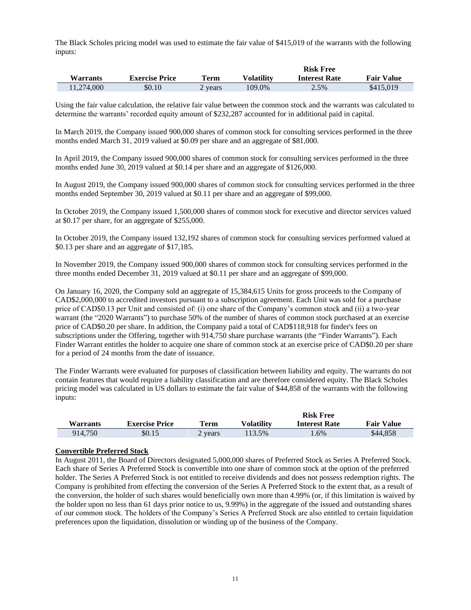The Black Scholes pricing model was used to estimate the fair value of \$415,019 of the warrants with the following inputs:

|                 |                       |         |                   | <b>Risk Free</b>     |                   |
|-----------------|-----------------------|---------|-------------------|----------------------|-------------------|
| <b>Warrants</b> | <b>Exercise Price</b> | Term    | <b>Volatility</b> | <b>Interest Rate</b> | <b>Fair Value</b> |
| 11.274.000      | \$0.10                | 2 years | 109.0%            | 2.5%                 | \$415,019         |

Using the fair value calculation, the relative fair value between the common stock and the warrants was calculated to determine the warrants' recorded equity amount of \$232,287 accounted for in additional paid in capital.

In March 2019, the Company issued 900,000 shares of common stock for consulting services performed in the three months ended March 31, 2019 valued at \$0.09 per share and an aggregate of \$81,000.

In April 2019, the Company issued 900,000 shares of common stock for consulting services performed in the three months ended June 30, 2019 valued at \$0.14 per share and an aggregate of \$126,000.

In August 2019, the Company issued 900,000 shares of common stock for consulting services performed in the three months ended September 30, 2019 valued at \$0.11 per share and an aggregate of \$99,000.

In October 2019, the Company issued 1,500,000 shares of common stock for executive and director services valued at \$0.17 per share, for an aggregate of \$255,000.

In October 2019, the Company issued 132,192 shares of common stock for consulting services performed valued at \$0.13 per share and an aggregate of \$17,185.

In November 2019, the Company issued 900,000 shares of common stock for consulting services performed in the three months ended December 31, 2019 valued at \$0.11 per share and an aggregate of \$99,000.

On January 16, 2020, the Company sold an aggregate of 15,384,615 Units for gross proceeds to the Company of CAD\$2,000,000 to accredited investors pursuant to a subscription agreement. Each Unit was sold for a purchase price of CAD\$0.13 per Unit and consisted of: (i) one share of the Company's common stock and (ii) a two-year warrant (the "2020 Warrants") to purchase 50% of the number of shares of common stock purchased at an exercise price of CAD\$0.20 per share. In addition, the Company paid a total of CAD\$118,918 for finder's fees on subscriptions under the Offering, together with 914,750 share purchase warrants (the "Finder Warrants"). Each Finder Warrant entitles the holder to acquire one share of common stock at an exercise price of CAD\$0.20 per share for a period of 24 months from the date of issuance.

The Finder Warrants were evaluated for purposes of classification between liability and equity. The warrants do not contain features that would require a liability classification and are therefore considered equity. The Black Scholes pricing model was calculated in US dollars to estimate the fair value of \$44,858 of the warrants with the following inputs:

|          |                       |         | <b>Risk Free</b> |                      |                   |
|----------|-----------------------|---------|------------------|----------------------|-------------------|
| Warrants | <b>Exercise Price</b> | Term    | Volatility       | <b>Interest Rate</b> | <b>Fair Value</b> |
| 914.750  | \$0.15                | 2 vears | 113.5%           | .6%                  | \$44,858          |

#### **Convertible Preferred Stock**

In August 2011, the Board of Directors designated 5,000,000 shares of Preferred Stock as Series A Preferred Stock. Each share of Series A Preferred Stock is convertible into one share of common stock at the option of the preferred holder. The Series A Preferred Stock is not entitled to receive dividends and does not possess redemption rights. The Company is prohibited from effecting the conversion of the Series A Preferred Stock to the extent that, as a result of the conversion, the holder of such shares would beneficially own more than 4.99% (or, if this limitation is waived by the holder upon no less than 61 days prior notice to us, 9.99%) in the aggregate of the issued and outstanding shares of our common stock. The holders of the Company's Series A Preferred Stock are also entitled to certain liquidation preferences upon the liquidation, dissolution or winding up of the business of the Company.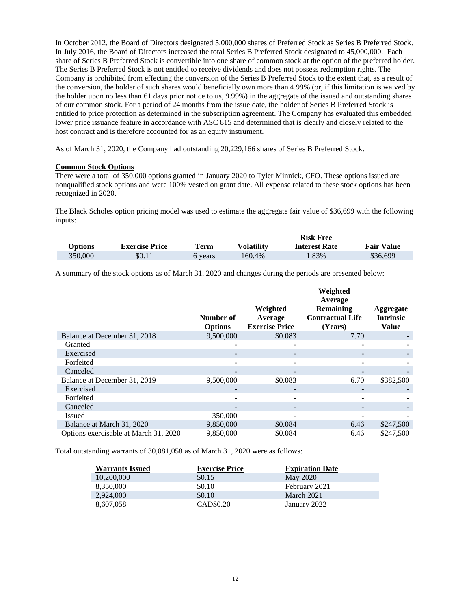In October 2012, the Board of Directors designated 5,000,000 shares of Preferred Stock as Series B Preferred Stock. In July 2016, the Board of Directors increased the total Series B Preferred Stock designated to 45,000,000. Each share of Series B Preferred Stock is convertible into one share of common stock at the option of the preferred holder. The Series B Preferred Stock is not entitled to receive dividends and does not possess redemption rights. The Company is prohibited from effecting the conversion of the Series B Preferred Stock to the extent that, as a result of the conversion, the holder of such shares would beneficially own more than 4.99% (or, if this limitation is waived by the holder upon no less than 61 days prior notice to us, 9.99%) in the aggregate of the issued and outstanding shares of our common stock. For a period of 24 months from the issue date, the holder of Series B Preferred Stock is entitled to price protection as determined in the subscription agreement. The Company has evaluated this embedded lower price issuance feature in accordance with ASC 815 and determined that is clearly and closely related to the host contract and is therefore accounted for as an equity instrument.

As of March 31, 2020, the Company had outstanding 20,229,166 shares of Series B Preferred Stock.

## **Common Stock Options**

There were a total of 350,000 options granted in January 2020 to Tyler Minnick, CFO. These options issued are nonqualified stock options and were 100% vested on grant date. All expense related to these stock options has been recognized in 2020.

The Black Scholes option pricing model was used to estimate the aggregate fair value of \$36,699 with the following inputs:

|         |                       |         |                   | <b>Risk Free</b>     |                   |
|---------|-----------------------|---------|-------------------|----------------------|-------------------|
| Options | <b>Exercise Price</b> | Term    | <b>Volatility</b> | <b>Interest Rate</b> | <b>Fair Value</b> |
| 350,000 | \$0.11                | 6 vears | 160.4%            | 1.83%                | \$36,699          |

A summary of the stock options as of March 31, 2020 and changes during the periods are presented below:

|                                       |                             |                                              | Weighted<br>Average                             |                                               |
|---------------------------------------|-----------------------------|----------------------------------------------|-------------------------------------------------|-----------------------------------------------|
|                                       | Number of<br><b>Options</b> | Weighted<br>Average<br><b>Exercise Price</b> | Remaining<br><b>Contractual Life</b><br>(Years) | Aggregate<br><b>Intrinsic</b><br><b>Value</b> |
| Balance at December 31, 2018          | 9,500,000                   | \$0.083                                      | 7.70                                            |                                               |
| Granted                               |                             |                                              |                                                 |                                               |
| Exercised                             |                             |                                              |                                                 |                                               |
| Forfeited                             |                             |                                              |                                                 |                                               |
| Canceled                              | -                           |                                              |                                                 |                                               |
| Balance at December 31, 2019          | 9,500,000                   | \$0.083                                      | 6.70                                            | \$382,500                                     |
| Exercised                             |                             |                                              |                                                 |                                               |
| Forfeited                             |                             |                                              |                                                 |                                               |
| Canceled                              |                             |                                              |                                                 |                                               |
| Issued                                | 350,000                     |                                              |                                                 |                                               |
| Balance at March 31, 2020             | 9,850,000                   | \$0.084                                      | 6.46                                            | \$247,500                                     |
| Options exercisable at March 31, 2020 | 9.850,000                   | \$0.084                                      | 6.46                                            | \$247,500                                     |

Total outstanding warrants of 30,081,058 as of March 31, 2020 were as follows:

| <b>Warrants Issued</b> | <b>Exercise Price</b> | <b>Expiration Date</b> |
|------------------------|-----------------------|------------------------|
| 10,200,000             | \$0.15                | May 2020               |
| 8,350,000              | \$0.10                | February 2021          |
| 2,924,000              | \$0.10                | March 2021             |
| 8.607.058              | CAD\$0.20             | January 2022           |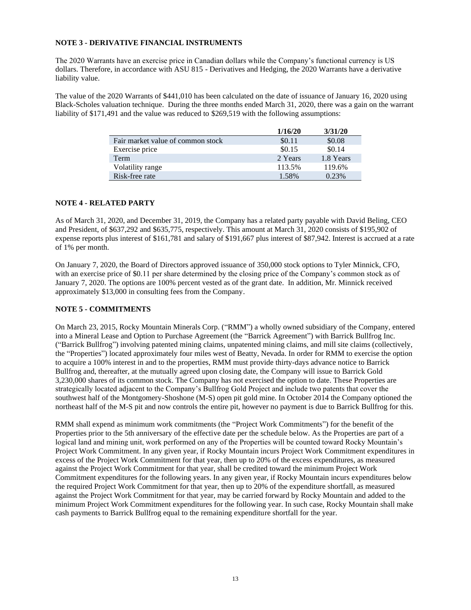## **NOTE 3 - DERIVATIVE FINANCIAL INSTRUMENTS**

The 2020 Warrants have an exercise price in Canadian dollars while the Company's functional currency is US dollars. Therefore, in accordance with ASU 815 - Derivatives and Hedging, the 2020 Warrants have a derivative liability value.

The value of the 2020 Warrants of \$441,010 has been calculated on the date of issuance of January 16, 2020 using Black-Scholes valuation technique. During the three months ended March 31, 2020, there was a gain on the warrant liability of \$171,491 and the value was reduced to \$269,519 with the following assumptions:

|                                   | 1/16/20 | 3/31/20   |
|-----------------------------------|---------|-----------|
| Fair market value of common stock | \$0.11  | \$0.08    |
| Exercise price                    | \$0.15  | \$0.14    |
| <b>Term</b>                       | 2 Years | 1.8 Years |
| Volatility range                  | 113.5%  | 119.6%    |
| Risk-free rate                    | 1.58%   | 0.23%     |

## **NOTE 4 - RELATED PARTY**

As of March 31, 2020, and December 31, 2019, the Company has a related party payable with David Beling, CEO and President, of \$637,292 and \$635,775, respectively. This amount at March 31, 2020 consists of \$195,902 of expense reports plus interest of \$161,781 and salary of \$191,667 plus interest of \$87,942. Interest is accrued at a rate of 1% per month.

On January 7, 2020, the Board of Directors approved issuance of 350,000 stock options to Tyler Minnick, CFO, with an exercise price of \$0.11 per share determined by the closing price of the Company's common stock as of January 7, 2020. The options are 100% percent vested as of the grant date. In addition, Mr. Minnick received approximately \$13,000 in consulting fees from the Company.

## **NOTE 5 - COMMITMENTS**

On March 23, 2015, Rocky Mountain Minerals Corp. ("RMM") a wholly owned subsidiary of the Company, entered into a Mineral Lease and Option to Purchase Agreement (the "Barrick Agreement") with Barrick Bullfrog Inc. ("Barrick Bullfrog") involving patented mining claims, unpatented mining claims, and mill site claims (collectively, the "Properties") located approximately four miles west of Beatty, Nevada. In order for RMM to exercise the option to acquire a 100% interest in and to the properties, RMM must provide thirty-days advance notice to Barrick Bullfrog and, thereafter, at the mutually agreed upon closing date, the Company will issue to Barrick Gold 3,230,000 shares of its common stock. The Company has not exercised the option to date. These Properties are strategically located adjacent to the Company's Bullfrog Gold Project and include two patents that cover the southwest half of the Montgomery-Shoshone (M-S) open pit gold mine. In October 2014 the Company optioned the northeast half of the M-S pit and now controls the entire pit, however no payment is due to Barrick Bullfrog for this.

RMM shall expend as minimum work commitments (the "Project Work Commitments") for the benefit of the Properties prior to the 5th anniversary of the effective date per the schedule below. As the Properties are part of a logical land and mining unit, work performed on any of the Properties will be counted toward Rocky Mountain's Project Work Commitment. In any given year, if Rocky Mountain incurs Project Work Commitment expenditures in excess of the Project Work Commitment for that year, then up to 20% of the excess expenditures, as measured against the Project Work Commitment for that year, shall be credited toward the minimum Project Work Commitment expenditures for the following years. In any given year, if Rocky Mountain incurs expenditures below the required Project Work Commitment for that year, then up to 20% of the expenditure shortfall, as measured against the Project Work Commitment for that year, may be carried forward by Rocky Mountain and added to the minimum Project Work Commitment expenditures for the following year. In such case, Rocky Mountain shall make cash payments to Barrick Bullfrog equal to the remaining expenditure shortfall for the year.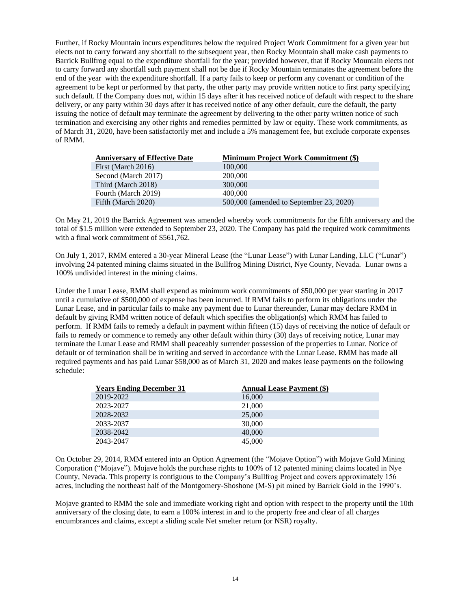Further, if Rocky Mountain incurs expenditures below the required Project Work Commitment for a given year but elects not to carry forward any shortfall to the subsequent year, then Rocky Mountain shall make cash payments to Barrick Bullfrog equal to the expenditure shortfall for the year; provided however, that if Rocky Mountain elects not to carry forward any shortfall such payment shall not be due if Rocky Mountain terminates the agreement before the end of the year with the expenditure shortfall. If a party fails to keep or perform any covenant or condition of the agreement to be kept or performed by that party, the other party may provide written notice to first party specifying such default. If the Company does not, within 15 days after it has received notice of default with respect to the share delivery, or any party within 30 days after it has received notice of any other default, cure the default, the party issuing the notice of default may terminate the agreement by delivering to the other party written notice of such termination and exercising any other rights and remedies permitted by law or equity. These work commitments, as of March 31, 2020, have been satisfactorily met and include a 5% management fee, but exclude corporate expenses of RMM.

| <b>Anniversary of Effective Date</b> | <b>Minimum Project Work Commitment (\$)</b> |
|--------------------------------------|---------------------------------------------|
| First (March 2016)                   | 100,000                                     |
| Second (March 2017)                  | 200,000                                     |
| Third (March 2018)                   | 300,000                                     |
| Fourth (March 2019)                  | 400,000                                     |
| Fifth (March 2020)                   | 500,000 (amended to September 23, 2020)     |

On May 21, 2019 the Barrick Agreement was amended whereby work commitments for the fifth anniversary and the total of \$1.5 million were extended to September 23, 2020. The Company has paid the required work commitments with a final work commitment of \$561,762.

On July 1, 2017, RMM entered a 30-year Mineral Lease (the "Lunar Lease") with Lunar Landing, LLC ("Lunar") involving 24 patented mining claims situated in the Bullfrog Mining District, Nye County, Nevada. Lunar owns a 100% undivided interest in the mining claims.

Under the Lunar Lease, RMM shall expend as minimum work commitments of \$50,000 per year starting in 2017 until a cumulative of \$500,000 of expense has been incurred. If RMM fails to perform its obligations under the Lunar Lease, and in particular fails to make any payment due to Lunar thereunder, Lunar may declare RMM in default by giving RMM written notice of default which specifies the obligation(s) which RMM has failed to perform. If RMM fails to remedy a default in payment within fifteen (15) days of receiving the notice of default or fails to remedy or commence to remedy any other default within thirty (30) days of receiving notice, Lunar may terminate the Lunar Lease and RMM shall peaceably surrender possession of the properties to Lunar. Notice of default or of termination shall be in writing and served in accordance with the Lunar Lease. RMM has made all required payments and has paid Lunar \$58,000 as of March 31, 2020 and makes lease payments on the following schedule:

| <b>Years Ending December 31</b> | <b>Annual Lease Payment (\$)</b> |
|---------------------------------|----------------------------------|
| 2019-2022                       | 16,000                           |
| 2023-2027                       | 21,000                           |
| 2028-2032                       | 25,000                           |
| 2033-2037                       | 30,000                           |
| 2038-2042                       | 40,000                           |
| 2043-2047                       | 45,000                           |

On October 29, 2014, RMM entered into an Option Agreement (the "Mojave Option") with Mojave Gold Mining Corporation ("Mojave"). Mojave holds the purchase rights to 100% of 12 patented mining claims located in Nye County, Nevada. This property is contiguous to the Company's Bullfrog Project and covers approximately 156 acres, including the northeast half of the Montgomery-Shoshone (M-S) pit mined by Barrick Gold in the 1990's.

Mojave granted to RMM the sole and immediate working right and option with respect to the property until the 10th anniversary of the closing date, to earn a 100% interest in and to the property free and clear of all charges encumbrances and claims, except a sliding scale Net smelter return (or NSR) royalty.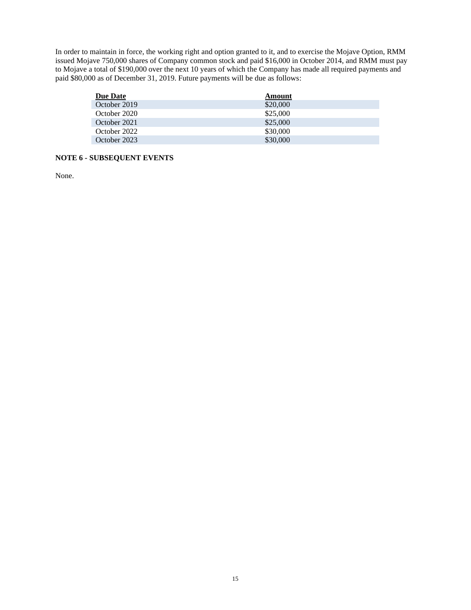In order to maintain in force, the working right and option granted to it, and to exercise the Mojave Option, RMM issued Mojave 750,000 shares of Company common stock and paid \$16,000 in October 2014, and RMM must pay to Mojave a total of \$190,000 over the next 10 years of which the Company has made all required payments and paid \$80,000 as of December 31, 2019. Future payments will be due as follows:

| Due Date     | Amount   |
|--------------|----------|
| October 2019 | \$20,000 |
| October 2020 | \$25,000 |
| October 2021 | \$25,000 |
| October 2022 | \$30,000 |
| October 2023 | \$30,000 |

## **NOTE 6 - SUBSEQUENT EVENTS**

None.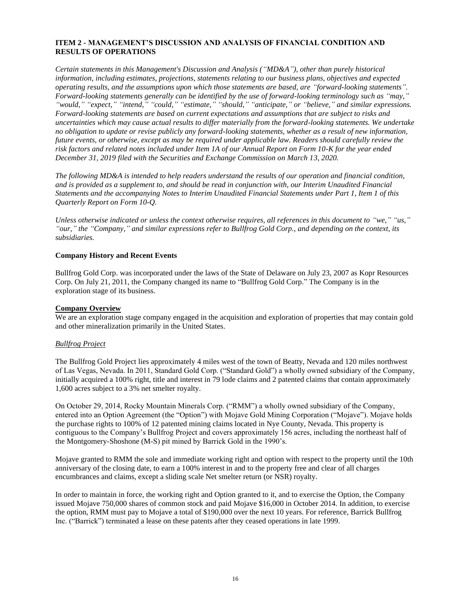## <span id="page-15-0"></span>**ITEM 2 - MANAGEMENT'S DISCUSSION AND ANALYSIS OF FINANCIAL CONDITION AND RESULTS OF OPERATIONS**

*Certain statements in this Management's Discussion and Analysis ("MD&A"), other than purely historical information, including estimates, projections, statements relating to our business plans, objectives and expected operating results, and the assumptions upon which those statements are based, are "forward-looking statements". Forward-looking statements generally can be identified by the use of forward-looking terminology such as "may," "would," "expect," "intend," "could," "estimate," "should," "anticipate," or "believe," and similar expressions. Forward-looking statements are based on current expectations and assumptions that are subject to risks and uncertainties which may cause actual results to differ materially from the forward-looking statements. We undertake no obligation to update or revise publicly any forward-looking statements, whether as a result of new information, future events, or otherwise, except as may be required under applicable law. Readers should carefully review the risk factors and related notes included under Item 1A of our Annual Report on Form 10-K for the year ended December 31, 2019 filed with the Securities and Exchange Commission on March 13, 2020.*

*The following MD&A is intended to help readers understand the results of our operation and financial condition, and is provided as a supplement to, and should be read in conjunction with, our Interim Unaudited Financial Statements and the accompanying Notes to Interim Unaudited Financial Statements under Part 1, Item 1 of this Quarterly Report on Form 10-Q.*

*Unless otherwise indicated or unless the context otherwise requires, all references in this document to "we," "us," "our," the "Company," and similar expressions refer to Bullfrog Gold Corp., and depending on the context, its subsidiaries.*

#### **Company History and Recent Events**

Bullfrog Gold Corp. was incorporated under the laws of the State of Delaware on July 23, 2007 as Kopr Resources Corp. On July 21, 2011, the Company changed its name to "Bullfrog Gold Corp." The Company is in the exploration stage of its business.

## **Company Overview**

We are an exploration stage company engaged in the acquisition and exploration of properties that may contain gold and other mineralization primarily in the United States.

#### *Bullfrog Project*

The Bullfrog Gold Project lies approximately 4 miles west of the town of Beatty, Nevada and 120 miles northwest of Las Vegas, Nevada. In 2011, Standard Gold Corp. ("Standard Gold") a wholly owned subsidiary of the Company, initially acquired a 100% right, title and interest in 79 lode claims and 2 patented claims that contain approximately 1,600 acres subject to a 3% net smelter royalty.

On October 29, 2014, Rocky Mountain Minerals Corp. ("RMM") a wholly owned subsidiary of the Company, entered into an Option Agreement (the "Option") with Mojave Gold Mining Corporation ("Mojave"). Mojave holds the purchase rights to 100% of 12 patented mining claims located in Nye County, Nevada. This property is contiguous to the Company's Bullfrog Project and covers approximately 156 acres, including the northeast half of the Montgomery-Shoshone (M-S) pit mined by Barrick Gold in the 1990's.

Mojave granted to RMM the sole and immediate working right and option with respect to the property until the 10th anniversary of the closing date, to earn a 100% interest in and to the property free and clear of all charges encumbrances and claims, except a sliding scale Net smelter return (or NSR) royalty.

In order to maintain in force, the working right and Option granted to it, and to exercise the Option, the Company issued Mojave 750,000 shares of common stock and paid Mojave \$16,000 in October 2014. In addition, to exercise the option, RMM must pay to Mojave a total of \$190,000 over the next 10 years. For reference, Barrick Bullfrog Inc. ("Barrick") terminated a lease on these patents after they ceased operations in late 1999.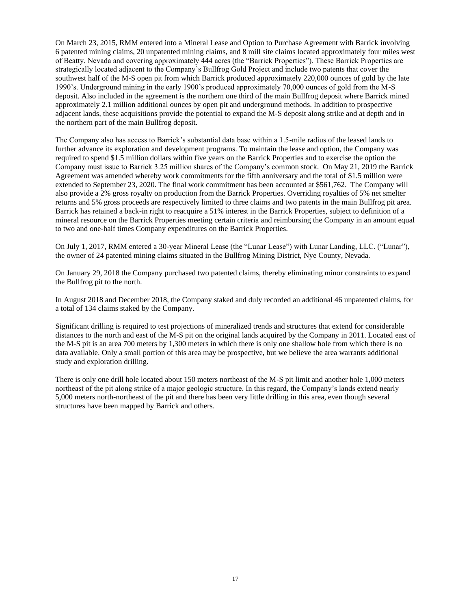On March 23, 2015, RMM entered into a Mineral Lease and Option to Purchase Agreement with Barrick involving 6 patented mining claims, 20 unpatented mining claims, and 8 mill site claims located approximately four miles west of Beatty, Nevada and covering approximately 444 acres (the "Barrick Properties"). These Barrick Properties are strategically located adjacent to the Company's Bullfrog Gold Project and include two patents that cover the southwest half of the M-S open pit from which Barrick produced approximately 220,000 ounces of gold by the late 1990's. Underground mining in the early 1900's produced approximately 70,000 ounces of gold from the M-S deposit. Also included in the agreement is the northern one third of the main Bullfrog deposit where Barrick mined approximately 2.1 million additional ounces by open pit and underground methods. In addition to prospective adjacent lands, these acquisitions provide the potential to expand the M-S deposit along strike and at depth and in the northern part of the main Bullfrog deposit.

The Company also has access to Barrick's substantial data base within a 1.5-mile radius of the leased lands to further advance its exploration and development programs. To maintain the lease and option, the Company was required to spend \$1.5 million dollars within five years on the Barrick Properties and to exercise the option the Company must issue to Barrick 3.25 million shares of the Company's common stock. On May 21, 2019 the Barrick Agreement was amended whereby work commitments for the fifth anniversary and the total of \$1.5 million were extended to September 23, 2020. The final work commitment has been accounted at \$561,762. The Company will also provide a 2% gross royalty on production from the Barrick Properties. Overriding royalties of 5% net smelter returns and 5% gross proceeds are respectively limited to three claims and two patents in the main Bullfrog pit area. Barrick has retained a back-in right to reacquire a 51% interest in the Barrick Properties, subject to definition of a mineral resource on the Barrick Properties meeting certain criteria and reimbursing the Company in an amount equal to two and one-half times Company expenditures on the Barrick Properties.

On July 1, 2017, RMM entered a 30-year Mineral Lease (the "Lunar Lease") with Lunar Landing, LLC. ("Lunar"), the owner of 24 patented mining claims situated in the Bullfrog Mining District, Nye County, Nevada.

On January 29, 2018 the Company purchased two patented claims, thereby eliminating minor constraints to expand the Bullfrog pit to the north.

In August 2018 and December 2018, the Company staked and duly recorded an additional 46 unpatented claims, for a total of 134 claims staked by the Company.

Significant drilling is required to test projections of mineralized trends and structures that extend for considerable distances to the north and east of the M-S pit on the original lands acquired by the Company in 2011. Located east of the M-S pit is an area 700 meters by 1,300 meters in which there is only one shallow hole from which there is no data available. Only a small portion of this area may be prospective, but we believe the area warrants additional study and exploration drilling.

There is only one drill hole located about 150 meters northeast of the M-S pit limit and another hole 1,000 meters northeast of the pit along strike of a major geologic structure. In this regard, the Company's lands extend nearly 5,000 meters north-northeast of the pit and there has been very little drilling in this area, even though several structures have been mapped by Barrick and others.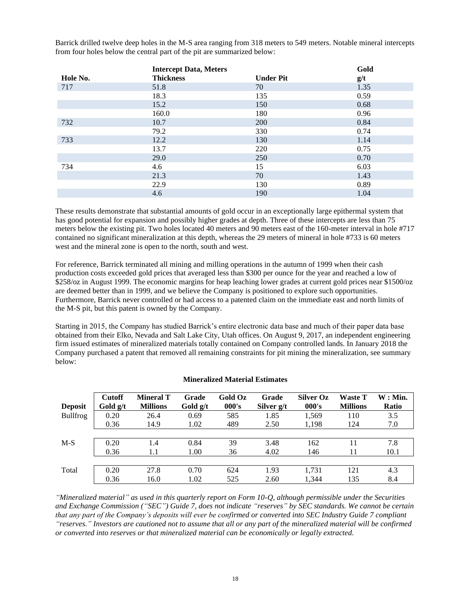Barrick drilled twelve deep holes in the M-S area ranging from 318 meters to 549 meters. Notable mineral intercepts from four holes below the central part of the pit are summarized below:

|          | <b>Intercept Data, Meters</b> |                  | Gold |
|----------|-------------------------------|------------------|------|
| Hole No. | <b>Thickness</b>              | <b>Under Pit</b> | g/t  |
| 717      | 51.8                          | 70               | 1.35 |
|          | 18.3                          | 135              | 0.59 |
|          | 15.2                          | 150              | 0.68 |
|          | 160.0                         | 180              | 0.96 |
| 732      | 10.7                          | 200              | 0.84 |
|          | 79.2                          | 330              | 0.74 |
| 733      | 12.2                          | 130              | 1.14 |
|          | 13.7                          | 220              | 0.75 |
|          | 29.0                          | 250              | 0.70 |
| 734      | 4.6                           | 15               | 6.03 |
|          | 21.3                          | 70               | 1.43 |
|          | 22.9                          | 130              | 0.89 |
|          | 4.6                           | 190              | 1.04 |

These results demonstrate that substantial amounts of gold occur in an exceptionally large epithermal system that has good potential for expansion and possibly higher grades at depth. Three of these intercepts are less than 75 meters below the existing pit. Two holes located 40 meters and 90 meters east of the 160-meter interval in hole #717 contained no significant mineralization at this depth, whereas the 29 meters of mineral in hole #733 is 60 meters west and the mineral zone is open to the north, south and west.

For reference, Barrick terminated all mining and milling operations in the autumn of 1999 when their cash production costs exceeded gold prices that averaged less than \$300 per ounce for the year and reached a low of \$258/oz in August 1999. The economic margins for heap leaching lower grades at current gold prices near \$1500/oz are deemed better than in 1999, and we believe the Company is positioned to explore such opportunities. Furthermore, Barrick never controlled or had access to a patented claim on the immediate east and north limits of the M-S pit, but this patent is owned by the Company.

Starting in 2015, the Company has studied Barrick's entire electronic data base and much of their paper data base obtained from their Elko, Nevada and Salt Lake City, Utah offices. On August 9, 2017, an independent engineering firm issued estimates of mineralized materials totally contained on Company controlled lands. In January 2018 the Company purchased a patent that removed all remaining constraints for pit mining the mineralization, see summary below:

| <b>Deposit</b>  | <b>Cutoff</b><br>Gold g/t | <b>Mineral T</b><br><b>Millions</b> | Grade<br>Gold $g/t$ | Gold Oz<br>000's | Grade<br>Silver g/t | <b>Silver Oz</b><br>000's | <b>Waste T</b><br><b>Millions</b> | $W:$ Min.<br>Ratio |
|-----------------|---------------------------|-------------------------------------|---------------------|------------------|---------------------|---------------------------|-----------------------------------|--------------------|
| <b>Bullfrog</b> | 0.20                      | 26.4                                | 0.69                | 585              | 1.85                | 1.569                     | 110                               | 3.5                |
|                 | 0.36                      | 14.9                                | 1.02                | 489              | 2.50                | 1,198                     | 124                               | 7.0                |
|                 |                           |                                     |                     |                  |                     |                           |                                   |                    |
| $M-S$           | 0.20                      | 1.4                                 | 0.84                | 39               | 3.48                | 162                       | 11                                | 7.8                |
|                 | 0.36                      | 1.1                                 | 1.00                | 36               | 4.02                | 146                       | 11                                | 10.1               |
|                 |                           |                                     |                     |                  |                     |                           |                                   |                    |
| Total           | 0.20                      | 27.8                                | 0.70                | 624              | 1.93                | 1.731                     | 121                               | 4.3                |
|                 | 0.36                      | 16.0                                | 1.02                | 525              | 2.60                | 1.344                     | 135                               | 8.4                |

## **Mineralized Material Estimates**

*"Mineralized material" as used in this quarterly report on Form 10-Q, although permissible under the Securities and Exchange Commission ("SEC") Guide 7, does not indicate "reserves" by SEC standards. We cannot be certain that any part of the Company's deposits will ever be confirmed or converted into SEC Industry Guide 7 compliant "reserves." Investors are cautioned not to assume that all or any part of the mineralized material will be confirmed or converted into reserves or that mineralized material can be economically or legally extracted.*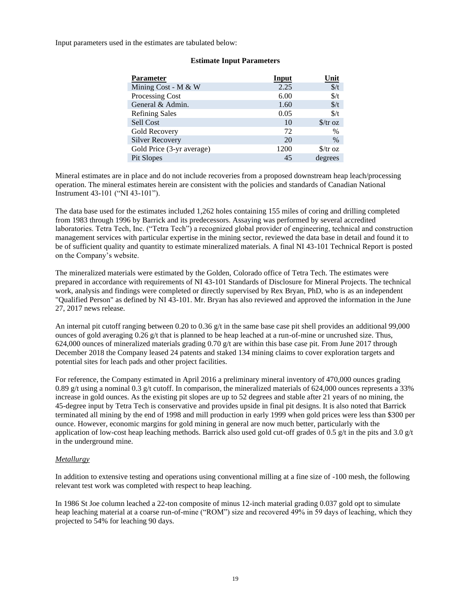Input parameters used in the estimates are tabulated below:

| <b>Parameter</b>          | <b>Input</b> | <u>Unit</u>               |
|---------------------------|--------------|---------------------------|
| Mining Cost - M & W       | 2.25         | $\frac{\epsilon}{t}$      |
| Processing Cost           | 6.00         | $\frac{f}{f}$             |
| General & Admin.          | 1.60         | $\frac{f}{f}$             |
| <b>Refining Sales</b>     | 0.05         | $\frac{f}{f}$             |
| Sell Cost                 | 10           | $\frac{\int \sqrt{x}}{x}$ |
| Gold Recovery             | 72           | $\%$                      |
| <b>Silver Recovery</b>    | 20           | $\%$                      |
| Gold Price (3-yr average) | 1200         | $\frac{\int \sqrt{x}}{x}$ |
| Pit Slopes                | 45           | degrees                   |

#### **Estimate Input Parameters**

Mineral estimates are in place and do not include recoveries from a proposed downstream heap leach/processing operation. The mineral estimates herein are consistent with the policies and standards of Canadian National Instrument 43-101 ("NI 43-101").

The data base used for the estimates included 1,262 holes containing 155 miles of coring and drilling completed from 1983 through 1996 by Barrick and its predecessors. Assaying was performed by several accredited laboratories. Tetra Tech, Inc. ("Tetra Tech") a recognized global provider of engineering, technical and construction management services with particular expertise in the mining sector, reviewed the data base in detail and found it to be of sufficient quality and quantity to estimate mineralized materials. A final NI 43-101 Technical Report is posted on the Company's website.

The mineralized materials were estimated by the Golden, Colorado office of Tetra Tech. The estimates were prepared in accordance with requirements of NI 43-101 Standards of Disclosure for Mineral Projects. The technical work, analysis and findings were completed or directly supervised by Rex Bryan, PhD, who is as an independent "Qualified Person" as defined by NI 43-101. Mr. Bryan has also reviewed and approved the information in the June 27, 2017 news release.

An internal pit cutoff ranging between 0.20 to 0.36 g/t in the same base case pit shell provides an additional 99,000 ounces of gold averaging 0.26 g/t that is planned to be heap leached at a run-of-mine or uncrushed size. Thus, 624,000 ounces of mineralized materials grading 0.70 g/t are within this base case pit. From June 2017 through December 2018 the Company leased 24 patents and staked 134 mining claims to cover exploration targets and potential sites for leach pads and other project facilities.

For reference, the Company estimated in April 2016 a preliminary mineral inventory of 470,000 ounces grading 0.89 g/t using a nominal 0.3 g/t cutoff. In comparison, the mineralized materials of 624,000 ounces represents a 33% increase in gold ounces. As the existing pit slopes are up to 52 degrees and stable after 21 years of no mining, the 45-degree input by Tetra Tech is conservative and provides upside in final pit designs. It is also noted that Barrick terminated all mining by the end of 1998 and mill production in early 1999 when gold prices were less than \$300 per ounce. However, economic margins for gold mining in general are now much better, particularly with the application of low-cost heap leaching methods. Barrick also used gold cut-off grades of 0.5 g/t in the pits and 3.0 g/t in the underground mine.

## *Metallurgy*

In addition to extensive testing and operations using conventional milling at a fine size of -100 mesh, the following relevant test work was completed with respect to heap leaching.

In 1986 St Joe column leached a 22-ton composite of minus 12-inch material grading 0.037 gold opt to simulate heap leaching material at a coarse run-of-mine ("ROM") size and recovered 49% in 59 days of leaching, which they projected to 54% for leaching 90 days.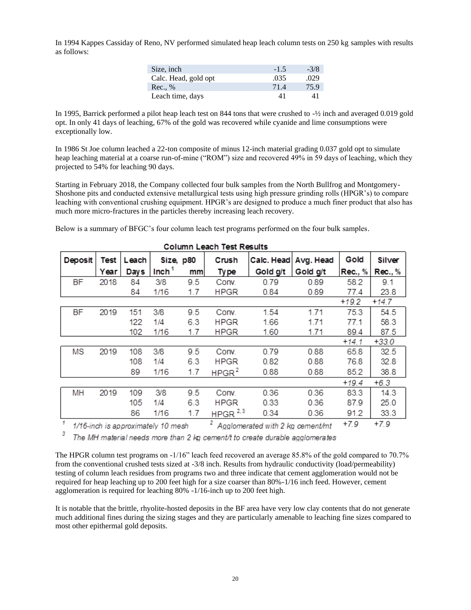In 1994 Kappes Cassiday of Reno, NV performed simulated heap leach column tests on 250 kg samples with results as follows:

| Size, inch           | $-1.5$ | $-3/8$ |
|----------------------|--------|--------|
| Calc. Head, gold opt | .035   | .029   |
| Rec., %              | 71.4   | 75.9   |
| Leach time, days     | 41     | 41     |

In 1995, Barrick performed a pilot heap leach test on 844 tons that were crushed to -½ inch and averaged 0.019 gold opt. In only 41 days of leaching, 67% of the gold was recovered while cyanide and lime consumptions were exceptionally low.

In 1986 St Joe column leached a 22-ton composite of minus 12-inch material grading 0.037 gold opt to simulate heap leaching material at a coarse run-of-mine ("ROM") size and recovered 49% in 59 days of leaching, which they projected to 54% for leaching 90 days.

Starting in February 2018, the Company collected four bulk samples from the North Bullfrog and Montgomery-Shoshone pits and conducted extensive metallurgical tests using high pressure grinding rolls (HPGR's) to compare leaching with conventional crushing equipment. HPGR's are designed to produce a much finer product that also has much more micro-fractures in the particles thereby increasing leach recovery.

Below is a summary of BFGC's four column leach test programs performed on the four bulk samples.

|                | 001um Leach 1est Results |       |                                   |     |                   |                                               |           |         |         |
|----------------|--------------------------|-------|-----------------------------------|-----|-------------------|-----------------------------------------------|-----------|---------|---------|
| Deposit        | Test                     | Leach | Size, p80                         |     | Crush             | Calc. Head                                    | Avg. Head | Gold    | Silver  |
|                | Year                     | Days  | Inch <sup>1</sup>                 | mm  | Ty pe             | Gold g/t                                      | Gold g/t  | Rec., % | Rec., % |
| <b>BF</b>      | 2018                     | 84    | 3/8                               | 9.5 | Conv.             | 0.79                                          | 0.89      | 58.2    | 9.1     |
|                |                          | 84    | 1/16                              | 1.7 | <b>HPGR</b>       | 0.84                                          | 0.89      | 77.4    | 23.8    |
|                |                          |       |                                   |     |                   |                                               |           | $+19.2$ | $+14.7$ |
| <b>BF</b>      | 2019                     | 151   | 3/8                               | 9.5 | Conv.             | 1.54                                          | 1.71      | 75.3    | 54.5    |
|                |                          | 122   | 1/4                               | 6.3 | <b>HPGR</b>       | 1.66                                          | 1.71      | 77.1    | 58.3    |
|                |                          | 102   | 1/16                              | 1.7 | <b>HPGR</b>       | 1.60                                          | 1.71      | 89.4    | 87.5    |
|                |                          |       |                                   |     |                   |                                               |           | $+14.1$ | $+33.0$ |
| MS             | 2019                     | 108   | 3/8                               | 9.5 | Conv.             | 0.79                                          | 0.88      | 65.8    | 32.5    |
|                |                          | 108   | 1/4                               | 6.3 | <b>HPGR</b>       | 0.82                                          | 0.88      | 76.8    | 32.8    |
|                |                          | 89    | 1/16                              | 1.7 | HPGR <sup>2</sup> | 0.88                                          | 0.88      | 85.2    | 38.8    |
|                |                          |       |                                   |     |                   |                                               |           | $+19.4$ | $+6.3$  |
| MH             | 2019                     | 109   | 3/8                               | 9.5 | Conv.             | 0.36                                          | 0.36      | 83.3    | 14.3    |
|                |                          | 105   | 1/4                               | 6.3 | <b>HPGR</b>       | 0.33                                          | 0.36      | 87.9    | 25.0    |
|                |                          | 86    | 1/16                              | 1.7 | HPGR $2,3$        | 0.34                                          | 0.36      | 91.2    | 33.3    |
| $\overline{1}$ |                          |       | 1/16-inch is annovimately 10 mesh |     |                   | <sup>2</sup> Analomerated with 2 kg cement/mt |           | $+7.9$  | $+7.9$  |

#### Column Leach Test Results

1/16-inch is approximately 10 mesh  $\frac{2}{\text{4}}$  Agglomerated with 2 kg cement/mt +7.9

3 The MH material needs more than 2 kg cement/t to create durable agglomerates

The HPGR column test programs on -1/16" leach feed recovered an average 85.8% of the gold compared to 70.7% from the conventional crushed tests sized at -3/8 inch. Results from hydraulic conductivity (load/permeability) testing of column leach residues from programs two and three indicate that cement agglomeration would not be required for heap leaching up to 200 feet high for a size coarser than 80%-1/16 inch feed. However, cement agglomeration is required for leaching 80% -1/16-inch up to 200 feet high.

It is notable that the brittle, rhyolite-hosted deposits in the BF area have very low clay contents that do not generate much additional fines during the sizing stages and they are particularly amenable to leaching fine sizes compared to most other epithermal gold deposits.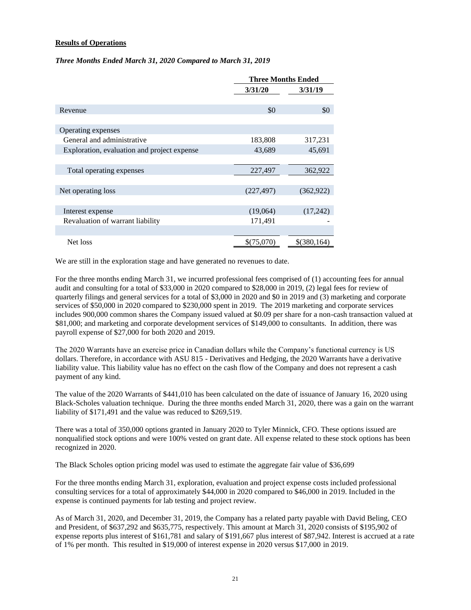## **Results of Operations**

#### *Three Months Ended March 31, 2020 Compared to March 31, 2019*

|                                             | <b>Three Months Ended</b> |             |
|---------------------------------------------|---------------------------|-------------|
|                                             | 3/31/20                   | 3/31/19     |
|                                             |                           |             |
| Revenue                                     | \$0                       | \$0         |
|                                             |                           |             |
| Operating expenses                          |                           |             |
| General and administrative                  | 183,808                   | 317,231     |
| Exploration, evaluation and project expense | 43,689                    | 45,691      |
|                                             |                           |             |
| Total operating expenses                    | 227,497                   | 362,922     |
|                                             |                           |             |
| Net operating loss                          | (227, 497)                | (362, 922)  |
|                                             |                           |             |
| Interest expense                            | (19,064)                  | (17,242)    |
| Revaluation of warrant liability            | 171,491                   |             |
|                                             |                           |             |
| Net loss                                    | \$(75,070)                | \$(380,164) |

We are still in the exploration stage and have generated no revenues to date.

For the three months ending March 31, we incurred professional fees comprised of (1) accounting fees for annual audit and consulting for a total of \$33,000 in 2020 compared to \$28,000 in 2019, (2) legal fees for review of quarterly filings and general services for a total of \$3,000 in 2020 and \$0 in 2019 and (3) marketing and corporate services of \$50,000 in 2020 compared to \$230,000 spent in 2019. The 2019 marketing and corporate services includes 900,000 common shares the Company issued valued at \$0.09 per share for a non-cash transaction valued at \$81,000; and marketing and corporate development services of \$149,000 to consultants. In addition, there was payroll expense of \$27,000 for both 2020 and 2019.

The 2020 Warrants have an exercise price in Canadian dollars while the Company's functional currency is US dollars. Therefore, in accordance with ASU 815 - Derivatives and Hedging, the 2020 Warrants have a derivative liability value. This liability value has no effect on the cash flow of the Company and does not represent a cash payment of any kind.

The value of the 2020 Warrants of \$441,010 has been calculated on the date of issuance of January 16, 2020 using Black-Scholes valuation technique. During the three months ended March 31, 2020, there was a gain on the warrant liability of \$171,491 and the value was reduced to \$269,519.

There was a total of 350,000 options granted in January 2020 to Tyler Minnick, CFO. These options issued are nonqualified stock options and were 100% vested on grant date. All expense related to these stock options has been recognized in 2020.

The Black Scholes option pricing model was used to estimate the aggregate fair value of \$36,699

For the three months ending March 31, exploration, evaluation and project expense costs included professional consulting services for a total of approximately \$44,000 in 2020 compared to \$46,000 in 2019. Included in the expense is continued payments for lab testing and project review.

As of March 31, 2020, and December 31, 2019, the Company has a related party payable with David Beling, CEO and President, of \$637,292 and \$635,775, respectively. This amount at March 31, 2020 consists of \$195,902 of expense reports plus interest of \$161,781 and salary of \$191,667 plus interest of \$87,942. Interest is accrued at a rate of 1% per month. This resulted in \$19,000 of interest expense in 2020 versus \$17,000 in 2019.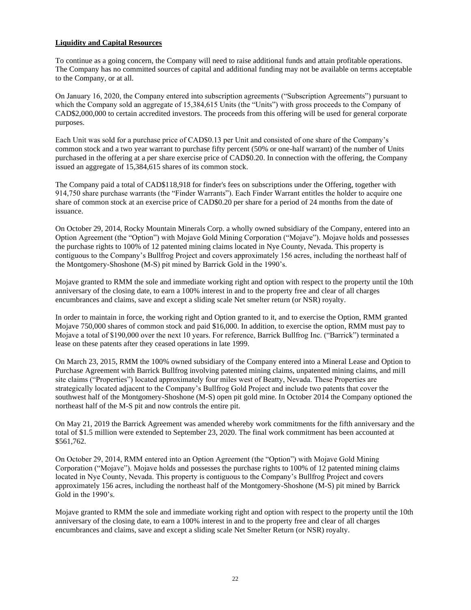## **Liquidity and Capital Resources**

To continue as a going concern, the Company will need to raise additional funds and attain profitable operations. The Company has no committed sources of capital and additional funding may not be available on terms acceptable to the Company, or at all.

On January 16, 2020, the Company entered into subscription agreements ("Subscription Agreements") pursuant to which the Company sold an aggregate of 15,384,615 Units (the "Units") with gross proceeds to the Company of CAD\$2,000,000 to certain accredited investors. The proceeds from this offering will be used for general corporate purposes.

Each Unit was sold for a purchase price of CAD\$0.13 per Unit and consisted of one share of the Company's common stock and a two year warrant to purchase fifty percent (50% or one-half warrant) of the number of Units purchased in the offering at a per share exercise price of CAD\$0.20. In connection with the offering, the Company issued an aggregate of 15,384,615 shares of its common stock.

The Company paid a total of CAD\$118,918 for finder's fees on subscriptions under the Offering, together with 914,750 share purchase warrants (the "Finder Warrants"). Each Finder Warrant entitles the holder to acquire one share of common stock at an exercise price of CAD\$0.20 per share for a period of 24 months from the date of issuance.

On October 29, 2014, Rocky Mountain Minerals Corp. a wholly owned subsidiary of the Company, entered into an Option Agreement (the "Option") with Mojave Gold Mining Corporation ("Mojave"). Mojave holds and possesses the purchase rights to 100% of 12 patented mining claims located in Nye County, Nevada. This property is contiguous to the Company's Bullfrog Project and covers approximately 156 acres, including the northeast half of the Montgomery-Shoshone (M-S) pit mined by Barrick Gold in the 1990's.

Mojave granted to RMM the sole and immediate working right and option with respect to the property until the 10th anniversary of the closing date, to earn a 100% interest in and to the property free and clear of all charges encumbrances and claims, save and except a sliding scale Net smelter return (or NSR) royalty.

In order to maintain in force, the working right and Option granted to it, and to exercise the Option, RMM granted Mojave 750,000 shares of common stock and paid \$16,000. In addition, to exercise the option, RMM must pay to Mojave a total of \$190,000 over the next 10 years. For reference, Barrick Bullfrog Inc. ("Barrick") terminated a lease on these patents after they ceased operations in late 1999.

On March 23, 2015, RMM the 100% owned subsidiary of the Company entered into a Mineral Lease and Option to Purchase Agreement with Barrick Bullfrog involving patented mining claims, unpatented mining claims, and mill site claims ("Properties") located approximately four miles west of Beatty, Nevada. These Properties are strategically located adjacent to the Company's Bullfrog Gold Project and include two patents that cover the southwest half of the Montgomery-Shoshone (M-S) open pit gold mine. In October 2014 the Company optioned the northeast half of the M-S pit and now controls the entire pit.

On May 21, 2019 the Barrick Agreement was amended whereby work commitments for the fifth anniversary and the total of \$1.5 million were extended to September 23, 2020. The final work commitment has been accounted at \$561,762.

On October 29, 2014, RMM entered into an Option Agreement (the "Option") with Mojave Gold Mining Corporation ("Mojave"). Mojave holds and possesses the purchase rights to 100% of 12 patented mining claims located in Nye County, Nevada. This property is contiguous to the Company's Bullfrog Project and covers approximately 156 acres, including the northeast half of the Montgomery-Shoshone (M-S) pit mined by Barrick Gold in the 1990's.

Mojave granted to RMM the sole and immediate working right and option with respect to the property until the 10th anniversary of the closing date, to earn a 100% interest in and to the property free and clear of all charges encumbrances and claims, save and except a sliding scale Net Smelter Return (or NSR) royalty.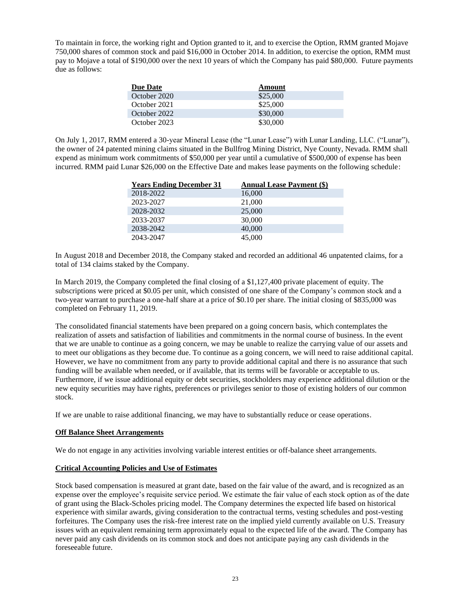To maintain in force, the working right and Option granted to it, and to exercise the Option, RMM granted Mojave 750,000 shares of common stock and paid \$16,000 in October 2014. In addition, to exercise the option, RMM must pay to Mojave a total of \$190,000 over the next 10 years of which the Company has paid \$80,000. Future payments due as follows:

| <b>Due Date</b> | Amount   |
|-----------------|----------|
| October 2020    | \$25,000 |
| October 2021    | \$25,000 |
| October 2022    | \$30,000 |
| October 2023    | \$30,000 |

On July 1, 2017, RMM entered a 30-year Mineral Lease (the "Lunar Lease") with Lunar Landing, LLC. ("Lunar"), the owner of 24 patented mining claims situated in the Bullfrog Mining District, Nye County, Nevada. RMM shall expend as minimum work commitments of \$50,000 per year until a cumulative of \$500,000 of expense has been incurred. RMM paid Lunar \$26,000 on the Effective Date and makes lease payments on the following schedule:

| <b>Years Ending December 31</b> | <b>Annual Lease Payment (\$)</b> |
|---------------------------------|----------------------------------|
| 2018-2022                       | 16,000                           |
| 2023-2027                       | 21,000                           |
| 2028-2032                       | 25,000                           |
| 2033-2037                       | 30,000                           |
| 2038-2042                       | 40,000                           |
| 2043-2047                       | 45,000                           |

In August 2018 and December 2018, the Company staked and recorded an additional 46 unpatented claims, for a total of 134 claims staked by the Company.

In March 2019, the Company completed the final closing of a \$1,127,400 private placement of equity. The subscriptions were priced at \$0.05 per unit, which consisted of one share of the Company's common stock and a two-year warrant to purchase a one-half share at a price of \$0.10 per share. The initial closing of \$835,000 was completed on February 11, 2019.

The consolidated financial statements have been prepared on a going concern basis, which contemplates the realization of assets and satisfaction of liabilities and commitments in the normal course of business. In the event that we are unable to continue as a going concern, we may be unable to realize the carrying value of our assets and to meet our obligations as they become due. To continue as a going concern, we will need to raise additional capital. However, we have no commitment from any party to provide additional capital and there is no assurance that such funding will be available when needed, or if available, that its terms will be favorable or acceptable to us. Furthermore, if we issue additional equity or debt securities, stockholders may experience additional dilution or the new equity securities may have rights, preferences or privileges senior to those of existing holders of our common stock.

If we are unable to raise additional financing, we may have to substantially reduce or cease operations.

## **Off Balance Sheet Arrangements**

We do not engage in any activities involving variable interest entities or off-balance sheet arrangements.

## **Critical Accounting Policies and Use of Estimates**

Stock based compensation is measured at grant date, based on the fair value of the award, and is recognized as an expense over the employee's requisite service period. We estimate the fair value of each stock option as of the date of grant using the Black-Scholes pricing model. The Company determines the expected life based on historical experience with similar awards, giving consideration to the contractual terms, vesting schedules and post-vesting forfeitures. The Company uses the risk-free interest rate on the implied yield currently available on U.S. Treasury issues with an equivalent remaining term approximately equal to the expected life of the award. The Company has never paid any cash dividends on its common stock and does not anticipate paying any cash dividends in the foreseeable future.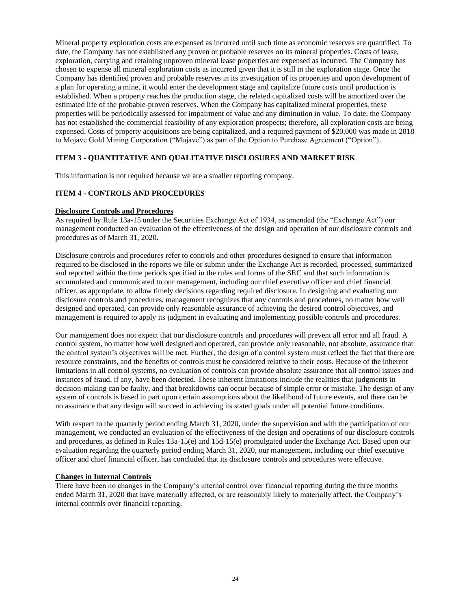Mineral property exploration costs are expensed as incurred until such time as economic reserves are quantified. To date, the Company has not established any proven or probable reserves on its mineral properties. Costs of lease, exploration, carrying and retaining unproven mineral lease properties are expensed as incurred. The Company has chosen to expense all mineral exploration costs as incurred given that it is still in the exploration stage. Once the Company has identified proven and probable reserves in its investigation of its properties and upon development of a plan for operating a mine, it would enter the development stage and capitalize future costs until production is established. When a property reaches the production stage, the related capitalized costs will be amortized over the estimated life of the probable-proven reserves. When the Company has capitalized mineral properties, these properties will be periodically assessed for impairment of value and any diminution in value. To date, the Company has not established the commercial feasibility of any exploration prospects; therefore, all exploration costs are being expensed. Costs of property acquisitions are being capitalized, and a required payment of \$20,000 was made in 2018 to Mojave Gold Mining Corporation ("Mojave") as part of the Option to Purchase Agreement ("Option").

## <span id="page-23-0"></span>**ITEM 3 - QUANTITATIVE AND QUALITATIVE DISCLOSURES AND MARKET RISK**

This information is not required because we are a smaller reporting company.

#### <span id="page-23-1"></span>**ITEM 4 - CONTROLS AND PROCEDURES**

#### **Disclosure Controls and Procedures**

As required by Rule 13a-15 under the Securities Exchange Act of 1934, as amended (the "Exchange Act") our management conducted an evaluation of the effectiveness of the design and operation of our disclosure controls and procedures as of March 31, 2020.

Disclosure controls and procedures refer to controls and other procedures designed to ensure that information required to be disclosed in the reports we file or submit under the Exchange Act is recorded, processed, summarized and reported within the time periods specified in the rules and forms of the SEC and that such information is accumulated and communicated to our management, including our chief executive officer and chief financial officer, as appropriate, to allow timely decisions regarding required disclosure. In designing and evaluating our disclosure controls and procedures, management recognizes that any controls and procedures, no matter how well designed and operated, can provide only reasonable assurance of achieving the desired control objectives, and management is required to apply its judgment in evaluating and implementing possible controls and procedures.

Our management does not expect that our disclosure controls and procedures will prevent all error and all fraud. A control system, no matter how well designed and operated, can provide only reasonable, not absolute, assurance that the control system's objectives will be met. Further, the design of a control system must reflect the fact that there are resource constraints, and the benefits of controls must be considered relative to their costs. Because of the inherent limitations in all control systems, no evaluation of controls can provide absolute assurance that all control issues and instances of fraud, if any, have been detected. These inherent limitations include the realities that judgments in decision-making can be faulty, and that breakdowns can occur because of simple error or mistake. The design of any system of controls is based in part upon certain assumptions about the likelihood of future events, and there can be no assurance that any design will succeed in achieving its stated goals under all potential future conditions.

With respect to the quarterly period ending March 31, 2020, under the supervision and with the participation of our management, we conducted an evaluation of the effectiveness of the design and operations of our disclosure controls and procedures, as defined in Rules 13a-15(e) and 15d-15(e) promulgated under the Exchange Act. Based upon our evaluation regarding the quarterly period ending March 31, 2020, our management, including our chief executive officer and chief financial officer, has concluded that its disclosure controls and procedures were effective.

#### **Changes in Internal Controls**

There have been no changes in the Company's internal control over financial reporting during the three months ended March 31, 2020 that have materially affected, or are reasonably likely to materially affect, the Company's internal controls over financial reporting.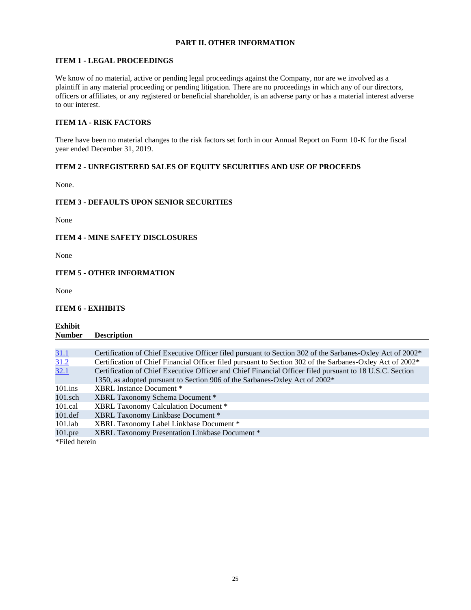# **PART II. OTHER INFORMATION**

## <span id="page-24-1"></span><span id="page-24-0"></span>**ITEM 1 - LEGAL PROCEEDINGS**

We know of no material, active or pending legal proceedings against the Company, nor are we involved as a plaintiff in any material proceeding or pending litigation. There are no proceedings in which any of our directors, officers or affiliates, or any registered or beneficial shareholder, is an adverse party or has a material interest adverse to our interest.

# <span id="page-24-2"></span>**ITEM 1A - RISK FACTORS**

There have been no material changes to the risk factors set forth in our Annual Report on Form 10-K for the fiscal year ended December 31, 2019.

## <span id="page-24-3"></span>**ITEM 2 - UNREGISTERED SALES OF EQUITY SECURITIES AND USE OF PROCEEDS**

None.

## <span id="page-24-4"></span>**ITEM 3 - DEFAULTS UPON SENIOR SECURITIES**

None

## <span id="page-24-5"></span>**ITEM 4 - MINE SAFETY DISCLOSURES**

None

## <span id="page-24-6"></span>**ITEM 5 - OTHER INFORMATION**

None

# <span id="page-24-7"></span>**ITEM 6 - EXHIBITS**

**Exhibit Number Description**

| <u>31.1</u>   | Certification of Chief Executive Officer filed pursuant to Section 302 of the Sarbanes-Oxley Act of 2002 <sup>*</sup> |
|---------------|-----------------------------------------------------------------------------------------------------------------------|
| 31.2          | Certification of Chief Financial Officer filed pursuant to Section 302 of the Sarbanes-Oxley Act of 2002*             |
| 32.1          | Certification of Chief Executive Officer and Chief Financial Officer filed pursuant to 18 U.S.C. Section              |
|               | 1350, as adopted pursuant to Section 906 of the Sarbanes-Oxley Act of 2002*                                           |
| $101$ .ins    | XBRL Instance Document *                                                                                              |
| $101$ .sch    | XBRL Taxonomy Schema Document *                                                                                       |
| $101$ .cal    | XBRL Taxonomy Calculation Document *                                                                                  |
| $101.$ def    | XBRL Taxonomy Linkbase Document *                                                                                     |
| $101$ .lab    | XBRL Taxonomy Label Linkbase Document *                                                                               |
| $101$ .pre    | XBRL Taxonomy Presentation Linkbase Document *                                                                        |
| *Filed herein |                                                                                                                       |